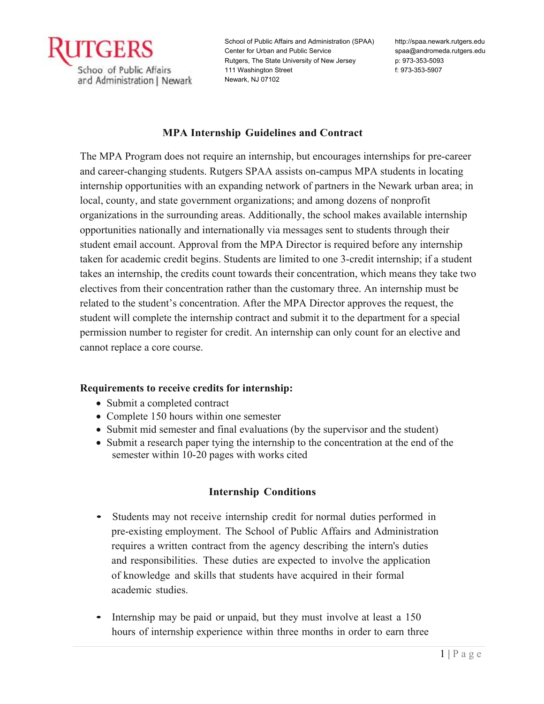

http://spaa.newark.rutgers.edu spaa@andromeda.rutgers.edu p: 973-353-5093 f: 973-353-5907

## **MPA Internship Guidelines and Contract**

The MPA Program does not require an internship, but encourages internships for pre-career and career-changing students. Rutgers SPAA assists on-campus MPA students in locating internship opportunities with an expanding network of partners in the Newark urban area; in local, county, and state government organizations; and among dozens of nonprofit organizations in the surrounding areas. Additionally, the school makes available internship opportunities nationally and internationally via messages sent to students through their student email account. Approval from the MPA Director is required before any internship taken for academic credit begins. Students are limited to one 3-credit internship; if a student takes an internship, the credits count towards their concentration, which means they take two electives from their concentration rather than the customary three. An internship must be related to the student's concentration. After the MPA Director approves the request, the student will complete the internship contract and submit it to the department for a special permission number to register for credit. An internship can only count for an elective and cannot replace a core course.

## **Requirements to receive credits for internship:**

- Submit a completed contract
- Complete 150 hours within one semester
- Submit mid semester and final evaluations (by the supervisor and the student)
- Submit a research paper tying the internship to the concentration at the end of the semester within 10-20 pages with works cited

# **Internship Conditions**

- Students may not receive internship credit for normal duties performed in pre-existing employment. The School of Public Affairs and Administration requires a written contract from the agency describing the intern's duties and responsibilities. These duties are expected to involve the application of knowledge and skills that students have acquired in their formal academic studies.
- Internship may be paid or unpaid, but they must involve at least a 150 hours of internship experience within three months in order to earn three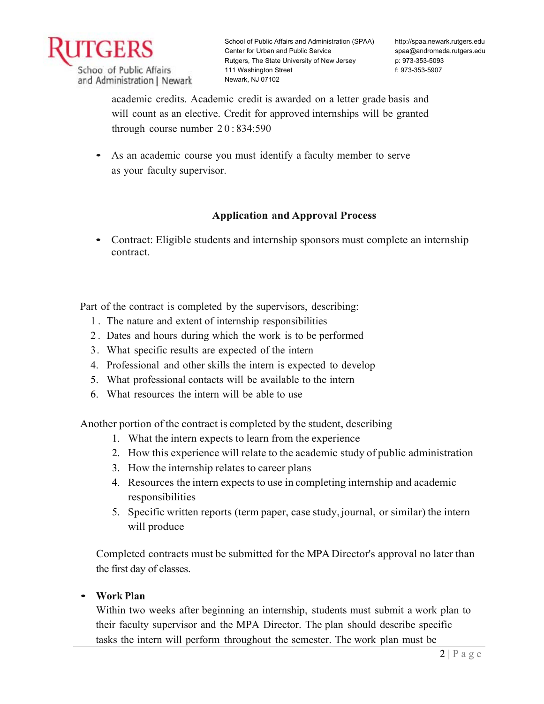

http://spaa.newark.rutgers.edu spaa@andromeda.rutgers.edu p: 973-353-5093 f: 973-353-5907

academic credits. Academic credit is awarded on a letter grade basis and will count as an elective. Credit for approved internships will be granted through course number 20: 834:590

• As an academic course you must identify a faculty member to serve as your faculty supervisor.

# **Application and Approval Process**

• Contract: Eligible students and internship sponsors must complete an internship contract.

Part of the contract is completed by the supervisors, describing:

- 1 . The nature and extent of internship responsibilities
- 2 . Dates and hours during which the work is to be performed
- 3. What specific results are expected of the intern
- 4. Professional and other skills the intern is expected to develop
- 5. What professional contacts will be available to the intern
- 6. What resources the intern will be able to use

Another portion of the contract is completed by the student, describing

- 1. What the intern expects to learn from the experience
- 2. How this experience will relate to the academic study of public administration
- 3. How the internship relates to career plans
- 4. Resources the intern expects to use in completing internship and academic responsibilities
- 5. Specific written reports (term paper, case study, journal, or similar) the intern will produce

Completed contracts must be submitted for the MPA Director's approval no later than the first day of classes.

## • **Work Plan**

Within two weeks after beginning an internship, students must submit a work plan to their faculty supervisor and the MPA Director. The plan should describe specific tasks the intern will perform throughout the semester. The work plan must be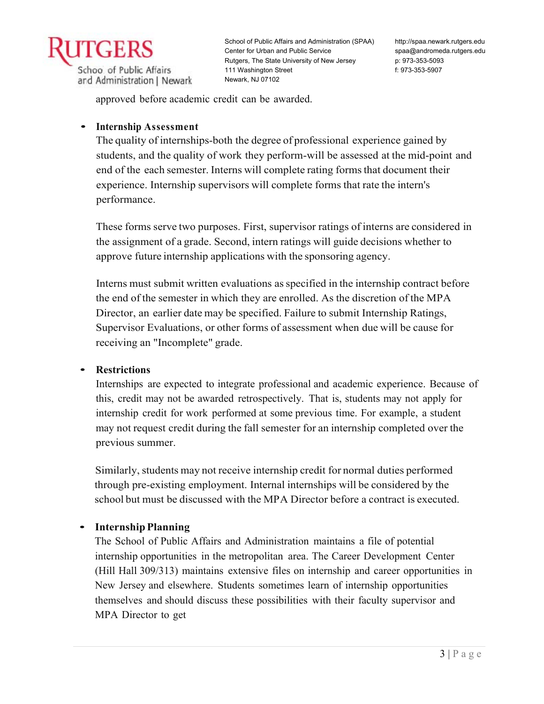

http://spaa.newark.rutgers.edu spaa@andromeda.rutgers.edu p: 973-353-5093 f: 973-353-5907

approved before academic credit can be awarded.

## • **Internship Assessment**

The quality of internships-both the degree of professional experience gained by students, and the quality of work they perform-will be assessed at the mid-point and end of the each semester. Interns will complete rating forms that document their experience. Internship supervisors will complete forms that rate the intern's performance.

These forms serve two purposes. First, supervisor ratings of interns are considered in the assignment of a grade. Second, intern ratings will guide decisions whether to approve future internship applications with the sponsoring agency.

Interns must submit written evaluations as specified in the internship contract before the end of the semester in which they are enrolled. As the discretion of the MPA Director, an earlier date may be specified. Failure to submit Internship Ratings, Supervisor Evaluations, or other forms of assessment when due will be cause for receiving an "Incomplete" grade.

#### • **Restrictions**

Internships are expected to integrate professional and academic experience. Because of this, credit may not be awarded retrospectively. That is, students may not apply for internship credit for work performed at some previous time. For example, a student may not request credit during the fall semester for an internship completed over the previous summer.

Similarly, students may not receive internship credit for normal duties performed through pre-existing employment. Internal internships will be considered by the school but must be discussed with the MPA Director before a contract is executed.

## • **Internship Planning**

The School of Public Affairs and Administration maintains a file of potential internship opportunities in the metropolitan area. The Career Development Center (Hill Hall 309/313) maintains extensive files on internship and career opportunities in New Jersey and elsewhere. Students sometimes learn of internship opportunities themselves and should discuss these possibilities with their faculty supervisor and MPA Director to get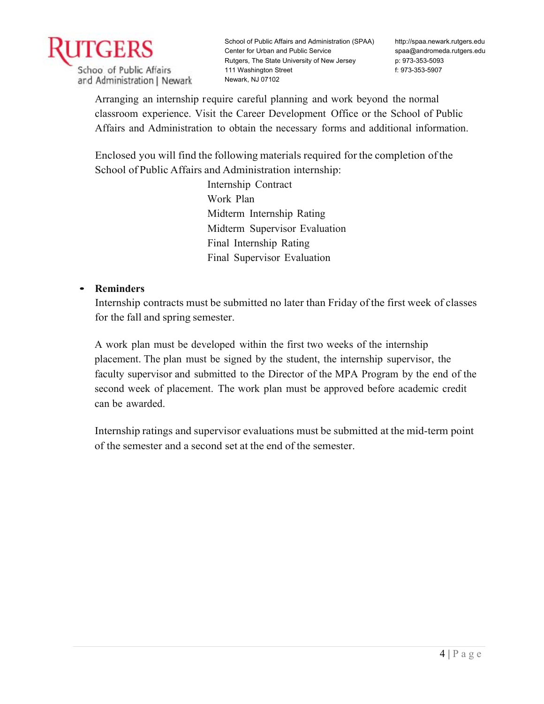

http://spaa.newark.rutgers.edu spaa@andromeda.rutgers.edu p: 973-353-5093 f: 973-353-5907

Arranging an internship require careful planning and work beyond the normal classroom experience. Visit the Career Development Office or the School of Public Affairs and Administration to obtain the necessary forms and additional information.

Enclosed you will find the following materials required for the completion of the School of Public Affairs and Administration internship:

> Internship Contract Work Plan Midterm Internship Rating Midterm Supervisor Evaluation Final Internship Rating Final Supervisor Evaluation

# • **Reminders**

Internship contracts must be submitted no later than Friday of the first week of classes for the fall and spring semester.

A work plan must be developed within the first two weeks of the internship placement. The plan must be signed by the student, the internship supervisor, the faculty supervisor and submitted to the Director of the MPA Program by the end of the second week of placement. The work plan must be approved before academic credit can be awarded.

Internship ratings and supervisor evaluations must be submitted at the mid-term point of the semester and a second set at the end of the semester.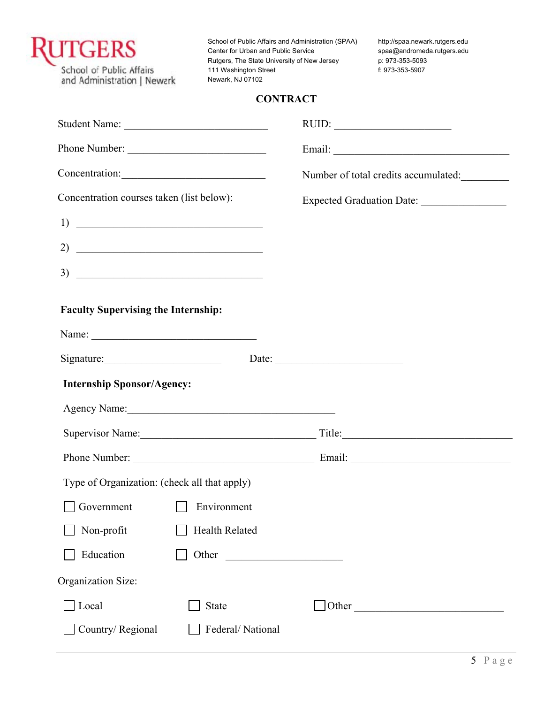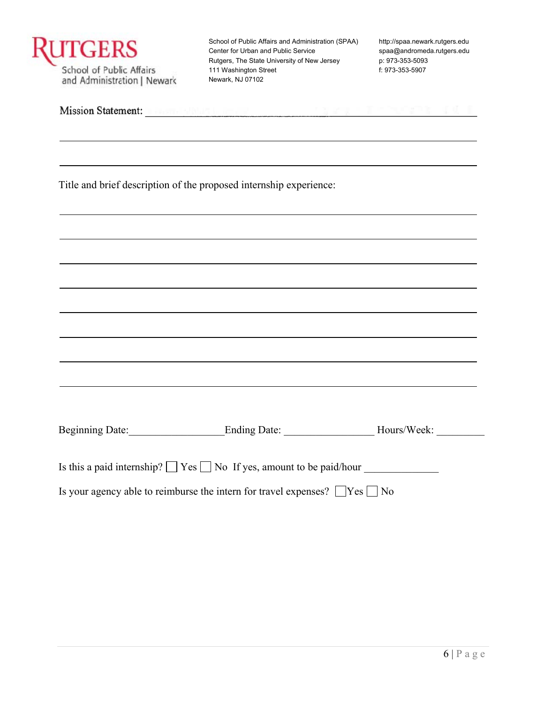| <b>JTGERS</b><br>School of Public Affairs<br>and Administration   Newark | Center for Urban and Public Service<br>Rutgers, The State University of New Jersey<br>111 Washington Street<br>Newark, NJ 07102                                                                                                      | http://spaa.newark.rutgers.edu<br>spaa@andromeda.rutgers.edu<br>p: 973-353-5093<br>f: 973-353-5907 |
|--------------------------------------------------------------------------|--------------------------------------------------------------------------------------------------------------------------------------------------------------------------------------------------------------------------------------|----------------------------------------------------------------------------------------------------|
|                                                                          | Mission Statement: <b>All According to the Contract of the Contract of Contract of Contract of Contract of Contract of Contract of Contract of Contract of Contract of Contract of Contract of Contract of Contract of Contract </b> |                                                                                                    |
|                                                                          | Title and brief description of the proposed internship experience:                                                                                                                                                                   |                                                                                                    |
|                                                                          |                                                                                                                                                                                                                                      |                                                                                                    |
|                                                                          |                                                                                                                                                                                                                                      |                                                                                                    |
|                                                                          |                                                                                                                                                                                                                                      |                                                                                                    |
|                                                                          |                                                                                                                                                                                                                                      |                                                                                                    |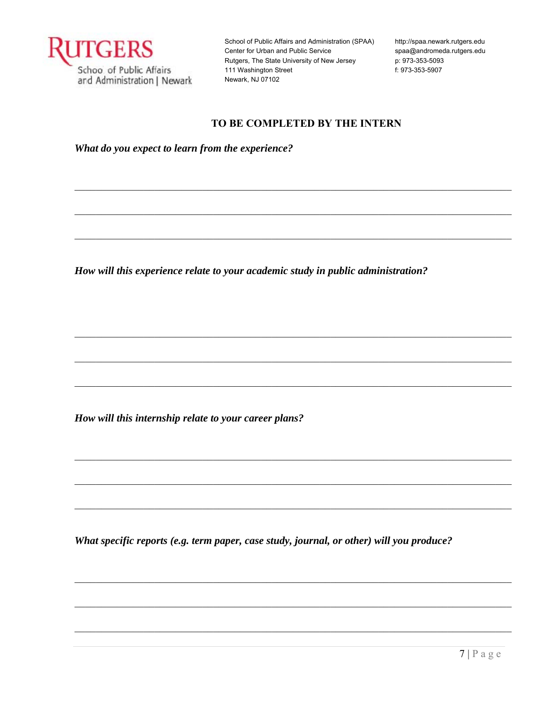

http://spaa.newark.rutgers.edu spaa@andromeda.rutgers.edu p: 973-353-5093 f: 973-353-5907

# **TO BE COMPLETED BY THE INTERN**

 $\mathcal{L}_\mathcal{L} = \mathcal{L}_\mathcal{L} = \mathcal{L}_\mathcal{L} = \mathcal{L}_\mathcal{L} = \mathcal{L}_\mathcal{L} = \mathcal{L}_\mathcal{L} = \mathcal{L}_\mathcal{L} = \mathcal{L}_\mathcal{L} = \mathcal{L}_\mathcal{L} = \mathcal{L}_\mathcal{L} = \mathcal{L}_\mathcal{L} = \mathcal{L}_\mathcal{L} = \mathcal{L}_\mathcal{L} = \mathcal{L}_\mathcal{L} = \mathcal{L}_\mathcal{L} = \mathcal{L}_\mathcal{L} = \mathcal{L}_\mathcal{L}$ 

*What do you expect to learn from the experience?* 

*How will this experience relate to your academic study in public administration?* 

*How will this internship relate to your career plans?* 

*What specific reports (e.g. term paper, case study, journal, or other) will you produce?*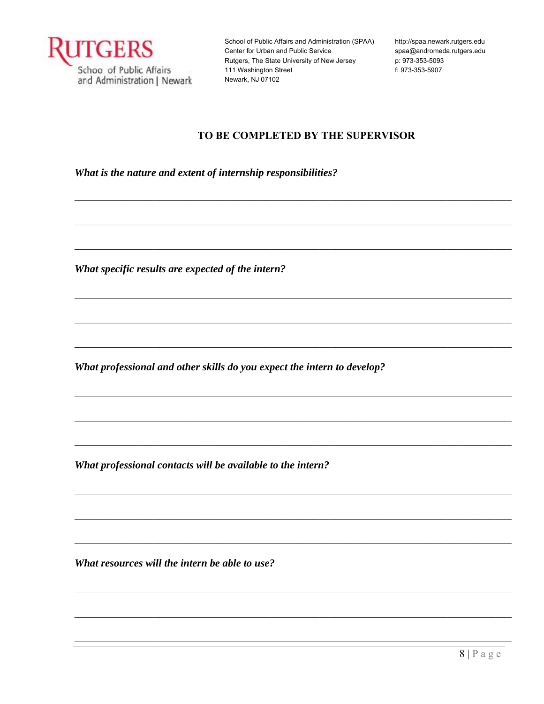

http://spaa.newark.rutgers.edu spaa@andromeda.rutgers.edu p: 973-353-5093 f: 973-353-5907

# TO BE COMPLETED BY THE SUPERVISOR

What is the nature and extent of internship responsibilities?

What specific results are expected of the intern?

What professional and other skills do you expect the intern to develop?

What professional contacts will be available to the intern?

What resources will the intern be able to use?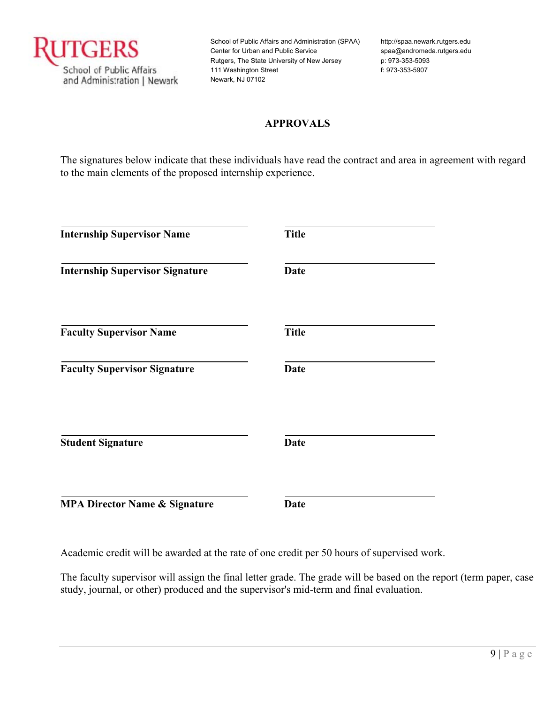

http://spaa.newark.rutgers.edu spaa@andromeda.rutgers.edu p: 973-353-5093 f: 973-353-5907

# **APPROVALS**

The signatures below indicate that these individuals have read the contract and area in agreement with regard to the main elements of the proposed internship experience.

| <b>Internship Supervisor Name</b>        | <b>Title</b> |
|------------------------------------------|--------------|
| <b>Internship Supervisor Signature</b>   | <b>Date</b>  |
| <b>Faculty Supervisor Name</b>           | <b>Title</b> |
| <b>Faculty Supervisor Signature</b>      | <b>Date</b>  |
| <b>Student Signature</b>                 | <b>Date</b>  |
| <b>MPA Director Name &amp; Signature</b> | <b>Date</b>  |

Academic credit will be awarded at the rate of one credit per 50 hours of supervised work.

The faculty supervisor will assign the final letter grade. The grade will be based on the report (term paper, case study, journal, or other) produced and the supervisor's mid-term and final evaluation.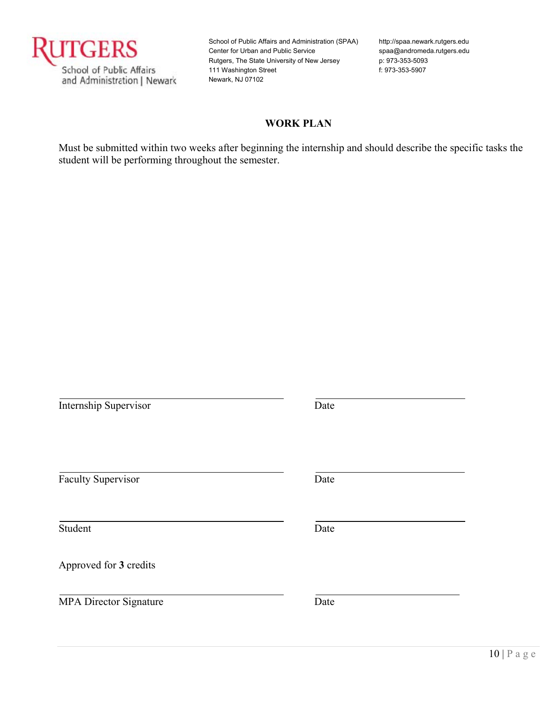

http://spaa.newark.rutgers.edu spaa@andromeda.rutgers.edu p: 973-353-5093 f: 973-353-5907

# **WORK PLAN**

Must be submitted within two weeks after beginning the internship and should describe the specific tasks the student will be performing throughout the semester.

| <b>Internship Supervisor</b>  | Date |
|-------------------------------|------|
| <b>Faculty Supervisor</b>     | Date |
| Student                       | Date |
| Approved for 3 credits        |      |
| <b>MPA Director Signature</b> | Date |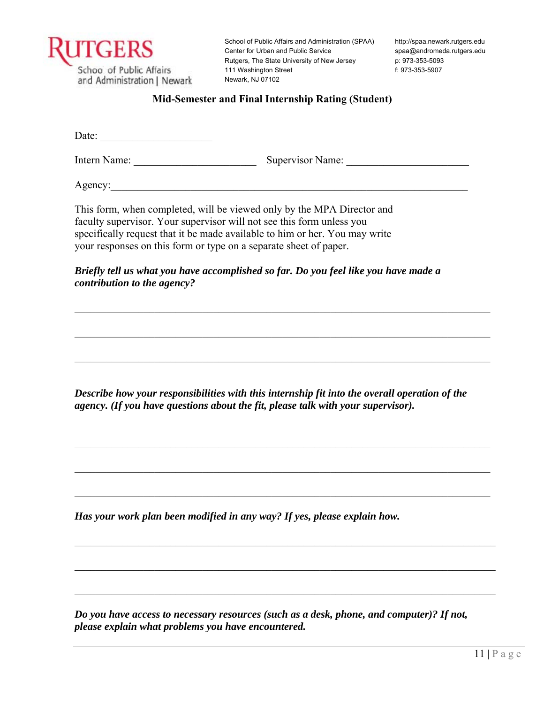

http://spaa.newark.rutgers.edu spaa@andromeda.rutgers.edu p: 973-353-5093 f: 973-353-5907

#### **Mid-Semester and Final Internship Rating (Student)**

Date:

Intern Name: \_\_\_\_\_\_\_\_\_\_\_\_\_\_\_\_\_\_\_\_\_\_\_ Supervisor Name: \_\_\_\_\_\_\_\_\_\_\_\_\_\_\_\_\_\_\_\_\_\_\_

Agency:

This form, when completed, will be viewed only by the MPA Director and faculty supervisor. Your supervisor will not see this form unless you specifically request that it be made available to him or her. You may write your responses on this form or type on a separate sheet of paper.

*Briefly tell us what you have accomplished so far. Do you feel like you have made a contribution to the agency?* 

*Describe how your responsibilities with this internship fit into the overall operation of the agency. (If you have questions about the fit, please talk with your supervisor).* 

 $\mathcal{L}_\mathcal{L} = \mathcal{L}_\mathcal{L} = \mathcal{L}_\mathcal{L} = \mathcal{L}_\mathcal{L} = \mathcal{L}_\mathcal{L} = \mathcal{L}_\mathcal{L} = \mathcal{L}_\mathcal{L} = \mathcal{L}_\mathcal{L} = \mathcal{L}_\mathcal{L} = \mathcal{L}_\mathcal{L} = \mathcal{L}_\mathcal{L} = \mathcal{L}_\mathcal{L} = \mathcal{L}_\mathcal{L} = \mathcal{L}_\mathcal{L} = \mathcal{L}_\mathcal{L} = \mathcal{L}_\mathcal{L} = \mathcal{L}_\mathcal{L}$ 

 $\mathcal{L}_\mathcal{L} = \mathcal{L}_\mathcal{L} = \mathcal{L}_\mathcal{L} = \mathcal{L}_\mathcal{L} = \mathcal{L}_\mathcal{L} = \mathcal{L}_\mathcal{L} = \mathcal{L}_\mathcal{L} = \mathcal{L}_\mathcal{L} = \mathcal{L}_\mathcal{L} = \mathcal{L}_\mathcal{L} = \mathcal{L}_\mathcal{L} = \mathcal{L}_\mathcal{L} = \mathcal{L}_\mathcal{L} = \mathcal{L}_\mathcal{L} = \mathcal{L}_\mathcal{L} = \mathcal{L}_\mathcal{L} = \mathcal{L}_\mathcal{L}$ 

*Has your work plan been modified in any way? If yes, please explain how.* 

*Do you have access to necessary resources (such as a desk, phone, and computer)? If not, please explain what problems you have encountered.*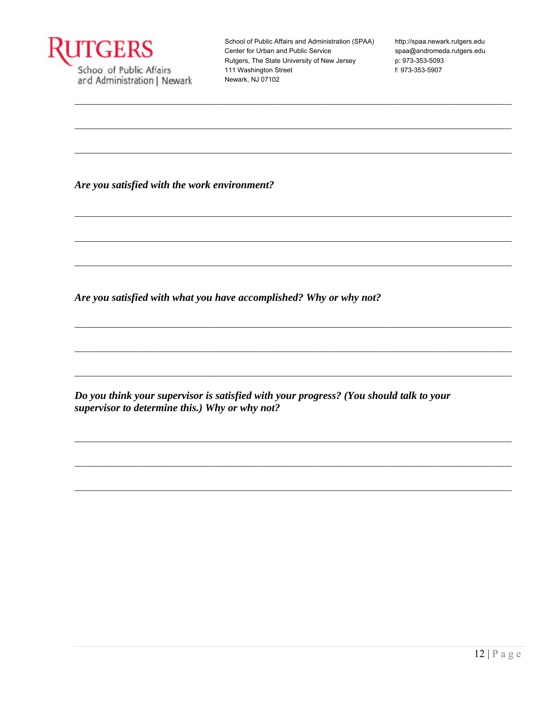

http://spaa.newark.rutgers.edu spaa@andromeda.rutgers.edu p: 973-353-5093 f: 973-353-5907

Are you satisfied with the work environment?

Are you satisfied with what you have accomplished? Why or why not?

Do you think your supervisor is satisfied with your progress? (You should talk to your supervisor to determine this.) Why or why not?